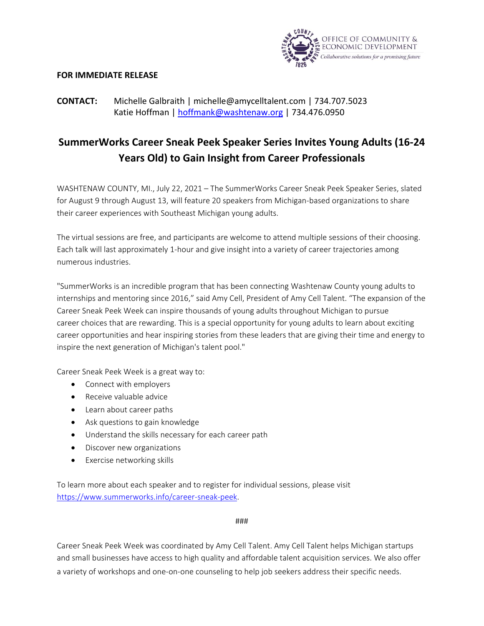

## **FOR IMMEDIATE RELEASE**

## **CONTACT:** Michelle Galbraith | [michelle@amycelltalent.com](mailto:michelle@amycelltalent.com) | 734.707.5023 Katie Hoffman | [hoffmank@washtenaw.org](mailto:hoffmank@washtenaw.org) | 734.476.0950

## **SummerWorks Career Sneak Peek Speaker Series Invites Young Adults (16-24 Years Old) to Gain Insight from Career Professionals**

WASHTENAW COUNTY, MI., July 22, 2021 – The SummerWorks Career Sneak Peek Speaker Series, slated for August 9 through August 13, will feature 20 speakers from Michigan-based organizations to share their career experiences with Southeast Michigan young adults.

The virtual sessions are free, and participants are welcome to attend multiple sessions of their choosing. Each talk will last approximately 1-hour and give insight into a variety of career trajectories among numerous industries.

"SummerWorks is an incredible program that has been connecting Washtenaw County young adults to internships and mentoring since 2016," said Amy Cell, President of Amy Cell Talent. "The expansion of the Career Sneak Peek Week can inspire thousands of young adults throughout Michigan to pursue career choices that are rewarding. This is a special opportunity for young adults to learn about exciting career opportunities and hear inspiring stories from these leaders that are giving their time and energy to inspire the next generation of Michigan's talent pool."

Career Sneak Peek Week is a great way to:

- Connect with employers
- Receive valuable advice
- Learn about career paths
- Ask questions to gain knowledge
- Understand the skills necessary for each career path
- Discover new organizations
- Exercise networking skills

To learn more about each speaker and to register for individual sessions, please visit [https://www.summerworks.info/career-sneak-peek.](https://www.summerworks.info/career-sneak-peek)

## ###

Career Sneak Peek Week was coordinated by Amy Cell Talent. Amy Cell Talent helps Michigan startups and small businesses have access to high quality and affordable talent acquisition services. We also offer a variety of workshops and one-on-one counseling to help job seekers address their specific needs.